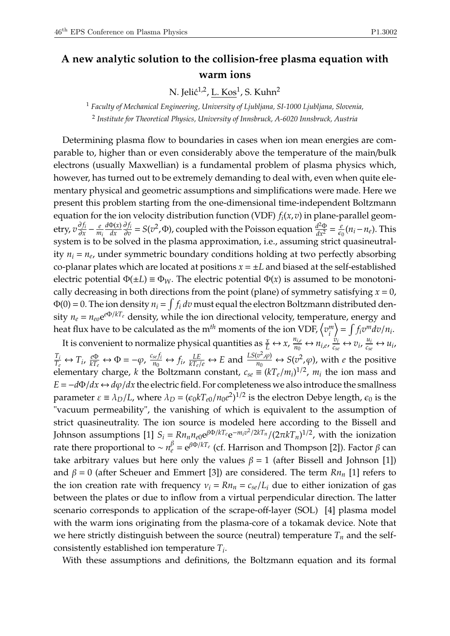## **A new analytic solution to the collision-free plasma equation with warm ions**

N. Jelić<sup>1,2</sup>, <u>L. Kos</u><sup>1</sup>, S. Kuhn<sup>2</sup>

<sup>1</sup> *Faculty of Mechanical Engineering, University of Ljubljana, SI-1000 Ljubljana, Slovenia,* 2 *Institute for Theoretical Physics, University of Innsbruck, A-6020 Innsbruck, Austria*

Determining plasma flow to boundaries in cases when ion mean energies are comparable to, higher than or even considerably above the temperature of the main/bulk electrons (usually Maxwellian) is a fundamental problem of plasma physics which, however, has turned out to be extremely demanding to deal with, even when quite elementary physical and geometric assumptions and simplifications were made. Here we present this problem starting from the one-dimensional time-independent Boltzmann equation for the ion velocity distribution function (VDF) *f<sup>i</sup>* (*x*,*v*) in plane-parallel geometry*, v∯i*  $rac{\partial f_i}{\partial x} - \frac{e}{m}$ *mi d*Φ(*x*) *dx* ∂ *f<sup>i</sup>*  $\frac{\partial f_i}{\partial v} = S(v^2, \Phi)$ , coupled with the Poisson equation  $\frac{d^2\Phi}{dx^2} = \frac{e^2}{\epsilon_0}$  $\frac{e}{\epsilon_0}(n_i - n_e)$ . This system is to be solved in the plasma approximation, i.e., assuming strict quasineutrality *n<sup>i</sup>* = *n<sup>e</sup>* , under symmetric boundary conditions holding at two perfectly absorbing co-planar plates which are located at positions  $x = \pm L$  and biased at the self-established electric potential  $\Phi(\pm L) \equiv \Phi_W$ . The electric potential  $\Phi(x)$  is assumed to be monotonically decreasing in both directions from the point (plane) of symmetry satisfying  $x = 0$ ,  $\Phi(0)=0.$  The ion density  $n_i=\int f_i\,dv$  must equal the electron Boltzmann distributed density  $n_e = n_{eo} e^{e\Phi/kT_e}$  density, while the ion directional velocity, temperature, energy and heat flux have to be calculated as the  $\text{m}^{th}$  moments of the ion VDF,  $\left\langle v^m_i \right\rangle$ *i*  $\left\langle \right. = \int f_i v^m dv / n_i.$ 

It is convenient to normalize physical quantities as  $\frac{x}{L} \leftrightarrow x$ ,  $\frac{n_{i,e}}{n_0}$  $m_{i,e}$   $m_{i,e}$   $m_{i,e}$   $\frac{v_i}{c_{se}} \leftrightarrow v_i$   $\frac{u_i}{c_{se}} \leftrightarrow u_i$  $\frac{T_i}{T_e} \leftrightarrow T_i$ ,  $\frac{e\Phi}{kT_e} \leftrightarrow \Phi = -\varphi$ ,  $\frac{c_{se}f_i}{n_0}$  $\frac{f_{se}f_i}{n_0} \leftrightarrow f_i$ ,  $\frac{LE}{kT_e/e} \leftrightarrow E$  and  $\frac{LS(v^2,\varphi)}{n_0}$  $\frac{\partial^2 \varphi}{\partial n_0} \leftrightarrow S(\varphi^2, \varphi)$ , with *e* the positive elementary charge, *k* the Boltzmann constant,  $c_{se} \equiv (kT_e/m_i)^{1/2}$ ,  $m_i$  the ion mass and  $E = -d\Phi/dx \leftrightarrow d\varphi/dx$  the electric field. For completeness we also introduce the smallness parameter  $\varepsilon \equiv \lambda_D/L$ , where  $\lambda_D = (\epsilon_0 k T_{e0}/n_0 e^2)^{1/2}$  is the electron Debye length,  $\epsilon_0$  is the "vacuum permeability", the vanishing of which is equivalent to the assumption of strict quasineutrality. The ion source is modeled here according to the Bissell and Johnson assumptions [1]  $S_i = Rn_n n_{e0} \mathrm{e}^{\beta \Phi/kT_e} \mathrm{e}^{-m_i v^2/2kT_n}/(2\pi kT_n)^{1/2}$ , with the ionization rate there proportional to  $\sim n_e^{\beta} = e^{\beta \Phi/kT_e}$  (cf. Harrison and Thompson [2]). Factor *β* can take arbitrary values but here only the values  $\beta = 1$  (after Bissell and Johnson [1]) and  $\beta = 0$  (after Scheuer and Emmert [3]) are considered. The term  $Rn_n$  [1] refers to the ion creation rate with frequency  $v_i = Rn_n = c_{se}/L_i$  due to either ionization of gas between the plates or due to inflow from a virtual perpendicular direction. The latter scenario corresponds to application of the scrape-off-layer (SOL) [4] plasma model with the warm ions originating from the plasma-core of a tokamak device. Note that we here strictly distinguish between the source (neutral) temperature  $T<sub>n</sub>$  and the selfconsistently established ion temperature *T<sup>i</sup>* .

With these assumptions and definitions, the Boltzmann equation and its formal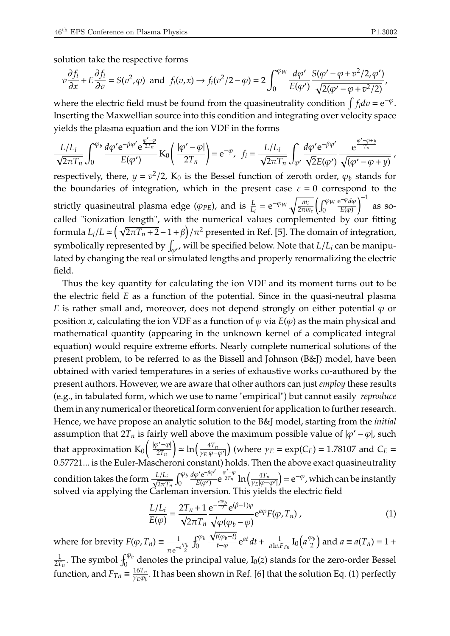solution take the respective forms

$$
v\frac{\partial f_i}{\partial x} + E\frac{\partial f_i}{\partial v} = S(v^2, \varphi) \text{ and } f_i(v, x) \to f_i(v^2/2 - \varphi) = 2 \int_0^{\varphi_W} \frac{d\varphi'}{E(\varphi')} \frac{S(\varphi' - \varphi + v^2/2, \varphi')}{\sqrt{2(\varphi' - \varphi + v^2/2)}},
$$

where the electric field must be found from the quasineutrality condition  $\int f_i dv = e^{-\varphi}$ . Inserting the Maxwellian source into this condition and integrating over velocity space yields the plasma equation and the ion VDF in the forms

$$
\frac{L/L_i}{\sqrt{2\pi T_n}}\int_0^{\varphi_b} \frac{d\varphi' e^{-\beta\varphi'} e^{\frac{\varphi'-\varphi}{2T_n}}}{E(\varphi')} K_0\left(\frac{|\varphi'-\varphi|}{2T_n}\right) = e^{-\varphi}, \ \ f_i = \frac{L/L_i}{\sqrt{2\pi T_n}}\int_{\varphi'} \frac{d\varphi' e^{-\beta\varphi'}}{\sqrt{2E(\varphi')}} \frac{e^{\frac{\varphi'-\varphi+y}{T_n}}}{\sqrt{(\varphi'-\varphi+y)}} \ ,
$$

respectively, there,  $y = v^2/2$ ,  $K_0$  is the Bessel function of zeroth order,  $\varphi_b$  stands for the boundaries of integration, which in the present case  $\varepsilon = 0$  correspond to the strictly quasineutral plasma edge ( $\varphi_{PE}$ ), and is  $\frac{L}{L_i} = e^{-\varphi_W} \sqrt{\frac{m_i}{2\pi m_i}}$  $\sqrt{\frac{m_i}{2\pi m_e}}\left(\int_0^{\varphi_W}$  $\overline{0}$  $e^{-\varphi}d\varphi$  $E(\varphi)$  $\int^{-1}$  as socalled "ionization length", with the numerical values complemented by our fitting formula  $L_i/L \simeq (\sqrt{2\pi T_n + 2} - 1 + \beta)/\pi^2$  presented in Ref. [5]. The domain of integration, symbolically represented by  $\int_{\varphi'}$ , will be specified below. Note that  $L/L_i$  can be manipulated by changing the real or simulated lengths and properly renormalizing the electric field.

Thus the key quantity for calculating the ion VDF and its moment turns out to be the electric field *E* as a function of the potential. Since in the quasi-neutral plasma *E* is rather small and, moreover, does not depend strongly on either potential  $\varphi$  or position *x*, calculating the ion VDF as a function of  $\varphi$  via  $E(\varphi)$  as the main physical and mathematical quantity (appearing in the unknown kernel of a complicated integral equation) would require extreme efforts. Nearly complete numerical solutions of the present problem, to be referred to as the Bissell and Johnson (B&J) model, have been obtained with varied temperatures in a series of exhaustive works co-authored by the present authors. However, we are aware that other authors can just *employ* these results (e.g., in tabulated form, which we use to name "empirical") but cannot easily *reproduce* them in any numerical or theoretical form convenient for application to further research. Hence, we have propose an analytic solution to the B&J model, starting from the *initial* assumption that  $2T_n$  is fairly well above the maximum possible value of  $|\varphi' - \varphi|$ , such that approximation  $K_0\left(\frac{|\varphi'-\varphi|}{2T_n}\right)$ 2*Tn*  $\int \rho \approx \ln\left(\frac{4T_n}{\gamma_E|\varphi-\varphi'|}\right)$  (where  $\gamma_E = \exp(C_E) = 1.78107$  and  $C_E =$ 0.57721... is the Euler-Mascheroni constant) holds. Then the above exact quasineutrality condition takes the form <sup>√</sup> *L*/*L<sup>i</sup>* 2π*Tn*  $\int_a^{\varphi_b}$  $\overline{0}$  $d\varphi' e^{-\beta \varphi'}$  $\frac{\rho' e^{-\beta \varphi'}}{E(\varphi')} e^{\frac{\varphi' - \varphi}{2T_n}} \ln \left( \frac{4T_n}{\gamma_E |\varphi - \varphi'|} \right) = e^{-\varphi}$ , which can be instantly solved via applying the Carleman inversion. This yields the electric field

$$
\frac{L/L_i}{E(\varphi)} = \frac{2T_n + 1}{\sqrt{2\pi T_n}} \frac{e^{-\frac{a\varphi_b}{2}} e^{(\beta - 1)\varphi}}{\sqrt{\varphi(\varphi_b - \varphi)}} e^{a\varphi} F(\varphi, T_n) ,\qquad (1)
$$

where for brevity  $F(\varphi, T_n) \equiv \frac{1}{\sqrt{n}}$  $\pi e^{-a} \frac{\varphi_b}{2}$  $\int_0^{\varphi_b}$  $t(\varphi_b-t)$  $\frac{d(\varphi_b - \iota)}{t - \varphi} e^{at} dt + \frac{1}{a \ln l}$  $\frac{1}{a\ln F_{Tn}}$  I<sub>0</sub>  $\left(a\frac{\varphi_b}{2}\right)$  $\left(\frac{\rho_b}{2}\right)$  and  $a \equiv a(T_n) = 1 +$ 1  $\frac{1}{2T_n}$ . The symbol  $\int_0^{\varphi_b}$  denotes the principal value, I<sub>0</sub>(*z*) stands for the zero-order Bessel function, and  $F_{Tn} \equiv \frac{16T_n}{\gamma_F \omega_h}$  $\frac{101}{\gamma_E \varphi_b}$ . It has been shown in Ref. [6] that the solution Eq. (1) perfectly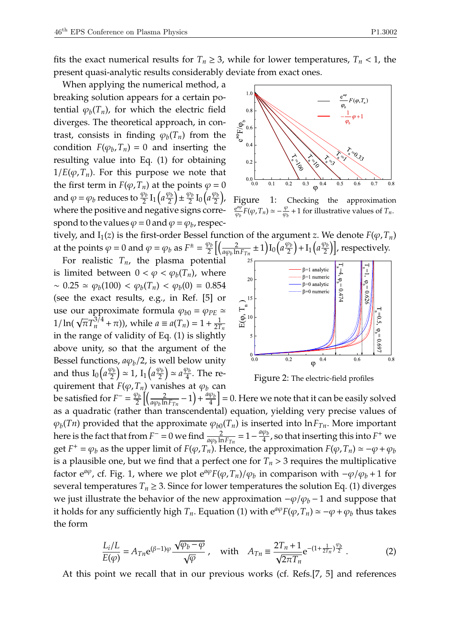fits the exact numerical results for  $T_n \geq 3$ , while for lower temperatures,  $T_n < 1$ , the present quasi-analytic results considerably deviate from exact ones.

When applying the numerical method, a breaking solution appears for a certain potential  $\varphi_b(T_n)$ , for which the electric field diverges. The theoretical approach, in contrast, consists in finding  $\varphi_b(T_n)$  from the condition  $F(\varphi_b, T_n) = 0$  and inserting the resulting value into Eq. (1) for obtaining  $1/E(\varphi, T_n)$ . For this purpose we note that the first term in *F*( $\varphi$ , *T*<sub>*n*</sub>) at the points  $\varphi$  = 0 and  $\varphi = \varphi_b$  reduces to  $\frac{\varphi_b}{2} I_1 \left( a \frac{\varphi_b}{2} \right)$  $\left(\frac{\rho_b}{2}\right) \pm \frac{\varphi_b}{2}$  $\frac{\rho_b}{2} I_0 \left( a \frac{\varphi_b}{2} \right)$  $\frac{\rho_b}{2}$ ), where the positive and negative signs correspond to the values  $\varphi$  = 0 and  $\varphi$  =  $\varphi_b$ , respectively, and  $I_1(z)$  is the first-order Bessel function of the argument *z*. We denote  $F(\varphi, T_n)$ 

at the points  $\varphi = 0$  and  $\varphi = \varphi_b$  as  $F^{\pm} = \frac{\varphi_b}{2}$  $\frac{\rho_b}{2}\Bigl[\Bigl(\frac{2}{a\varphi_b\ln}$ For realistic  $T_n$ , the plasma potential is limited between  $0 < \varphi < \varphi_b(T_n)$ , where  $\sim 0.25 \simeq \varphi_b(100) < \varphi_b(T_n) < \varphi_b(0) = 0.854$ (see the exact results, e.g., in Ref. [5] or use our approximate formula  $\varphi_{b0} = \varphi_{PE} \simeq$ **d**<sub>1</sub>**i** and  $\pi r_0$  is  $\frac{1}{n}$  (**γ**<sub>*n*</sub>) =  $\frac{1}{n}$  (**γ**<sub>*n*</sub>) =  $\frac{1}{n}$  +  $\frac{1}{n}$  (**γ**<sub>*n*</sub>) =  $\frac{1}{n}$  +  $\frac{1}{n}$  (**γ**<sub>*n*</sub>) =  $\frac{1}{n}$  +  $\frac{1}{n}$  (**γ**<sub>*n*</sub>) =  $\frac{1}{n}$  +  $\frac{1}{n}$  (**γ**<sub>*n*</sub>) =  $\frac{1}{n}$ 2*Tn* in the range of validity of Eq. (1) is slightly above unity, so that the argument of the Bessel functions,  $a\varphi_b/2$ , is well below unity and thus  $I_0 \left( a \frac{\varphi_b}{2} \right)$  $\left(\frac{\rho_b}{2}\right) \simeq 1$ ,  $I_1\left(a\frac{\varphi_b}{2}\right)$  $\left(\frac{\rho_b}{2}\right) \simeq a \frac{\varphi_b}{4}$  $\frac{\rho_b}{4}$ . The requirement that  $F(\varphi, T_n)$  vanishes at  $\varphi_b$  can



Figure 1: Checking the approximation e *a*ϕ  $\frac{e^{a\varphi}}{\varphi_b}F(\varphi, T_n) \simeq -\frac{\varphi}{\varphi_b}$  $\frac{\varphi}{\varphi_b}$  + 1 for illustrative values of  $T_n$ .



Figure 2: The electric-field profiles

be satisfied for  $F^- = \frac{\varphi_b}{2}$  $\frac{\rho_b}{2}\Bigl[\Bigl(\frac{2}{a\varphi_b\ln}$  $\frac{2}{a\varphi_b \ln F_{Tn}} - 1$  +  $\frac{a\varphi_b}{4}$  $\left\lfloor \frac{\varphi_b}{4} \right\rfloor$  = 0. Here we note that it can be easily solved as a quadratic (rather than transcendental) equation, yielding very precise values of  $\varphi_b(Tn)$  provided that the approximate  $\varphi_{b0}(T_n)$  is inserted into  $\ln F_{Tn}$ . More important here is the fact that from  $F^- = 0$  we find  $\frac{2}{a\varphi_b \ln F_{Tn}} = 1 - \frac{a\varphi_b}{4}$  $\frac{\varphi_{b}}{4}$  , so that inserting this into  $F^{+}$  we get  $F^+ = \varphi_b$  as the upper limit of  $F(\varphi, T_n)$ . Hence, the approximation  $F(\varphi, T_n) \simeq -\varphi + \varphi_b$ is a plausible one, but we find that a perfect one for  $T_n > 3$  requires the multiplicative factor  $e^{a\varphi}$ , cf. Fig. 1, where we plot  $e^{a\varphi}F(\varphi,T_n)/\varphi_b$  in comparison with  $-\varphi/\varphi_b + 1$  for several temperatures  $T_n \geq 3$ . Since for lower temperatures the solution Eq. (1) diverges we just illustrate the behavior of the new approximation  $-\varphi/\varphi_b - 1$  and suppose that it holds for any sufficiently high  $T_n$ . Equation (1) with  $e^{a\varphi}F(\varphi,T_n) \simeq -\varphi + \varphi_b$  thus takes the form

$$
\frac{L_i/L}{E(\varphi)} = A_{Tn} e^{(\beta - 1)\varphi} \frac{\sqrt{\varphi_b - \varphi}}{\sqrt{\varphi}} , \quad \text{with} \quad A_{Tn} \equiv \frac{2T_n + 1}{\sqrt{2\pi T_n}} e^{-(1 + \frac{1}{2T_n})\frac{\varphi_b}{2}} . \tag{2}
$$

At this point we recall that in our previous works (cf. Refs.[7, 5] and references